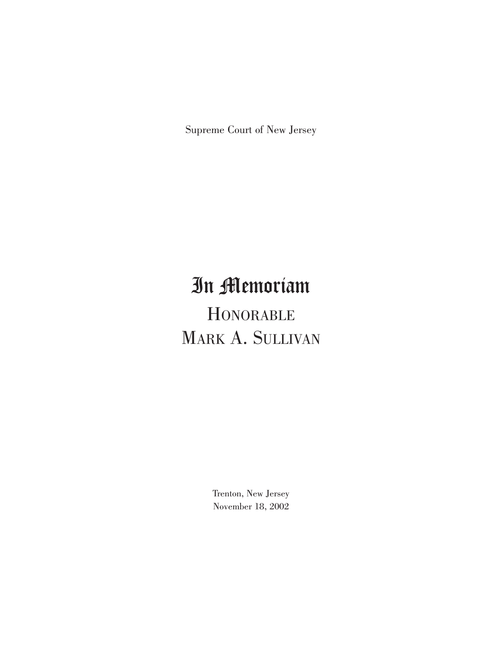Supreme Court of New Jersey

## In Memoriam **HONORABLE**

# MARK A. SULLIVAN

Trenton, New Jersey November 18, 2002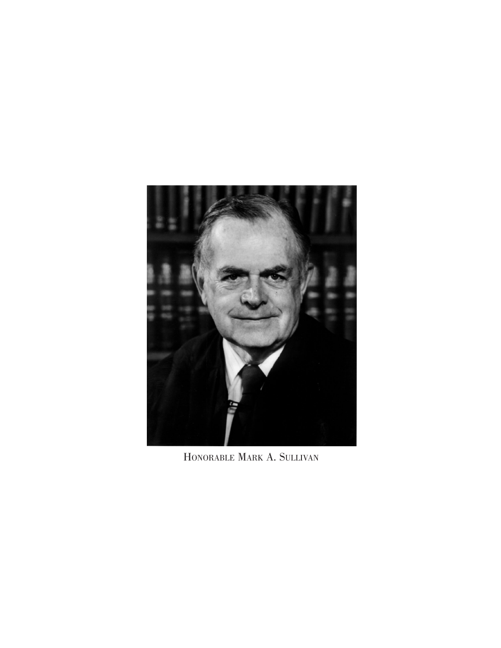

HONORABLE MARK A. SULLIVAN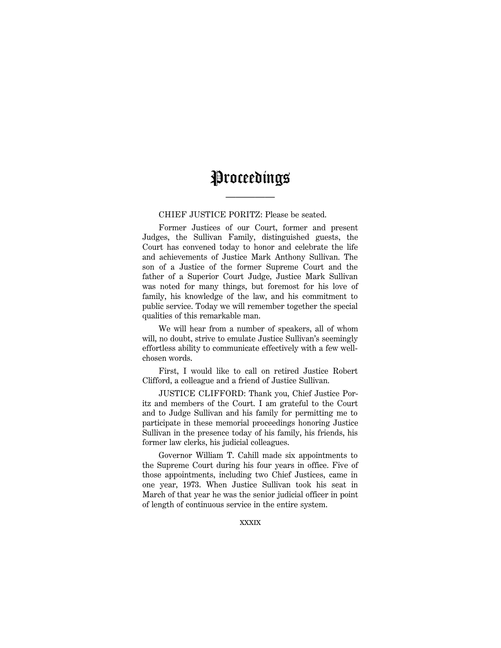### Proceedings

—————

#### CHIEF JUSTICE PORITZ: Please be seated.

Former Justices of our Court, former and present Judges, the Sullivan Family, distinguished guests, the Court has convened today to honor and celebrate the life and achievements of Justice Mark Anthony Sullivan. The son of a Justice of the former Supreme Court and the father of a Superior Court Judge, Justice Mark Sullivan was noted for many things, but foremost for his love of family, his knowledge of the law, and his commitment to public service. Today we will remember together the special qualities of this remarkable man.

We will hear from a number of speakers, all of whom will, no doubt, strive to emulate Justice Sullivan's seemingly effortless ability to communicate effectively with a few wellchosen words.

First, I would like to call on retired Justice Robert Clifford, a colleague and a friend of Justice Sullivan.

JUSTICE CLIFFORD: Thank you, Chief Justice Poritz and members of the Court. I am grateful to the Court and to Judge Sullivan and his family for permitting me to participate in these memorial proceedings honoring Justice Sullivan in the presence today of his family, his friends, his former law clerks, his judicial colleagues.

Governor William T. Cahill made six appointments to the Supreme Court during his four years in office. Five of those appointments, including two Chief Justices, came in one year, 1973. When Justice Sullivan took his seat in March of that year he was the senior judicial officer in point of length of continuous service in the entire system.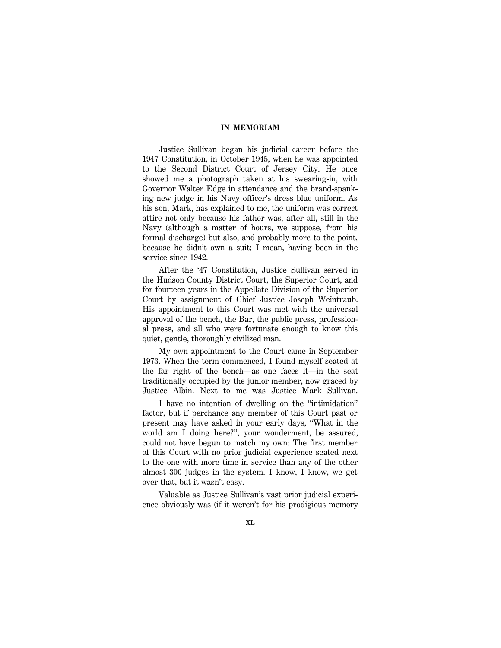Justice Sullivan began his judicial career before the 1947 Constitution, in October 1945, when he was appointed to the Second District Court of Jersey City. He once showed me a photograph taken at his swearing-in, with Governor Walter Edge in attendance and the brand-spanking new judge in his Navy officer's dress blue uniform. As his son, Mark, has explained to me, the uniform was correct attire not only because his father was, after all, still in the Navy (although a matter of hours, we suppose, from his formal discharge) but also, and probably more to the point, because he didn't own a suit; I mean, having been in the service since 1942.

After the '47 Constitution, Justice Sullivan served in the Hudson County District Court, the Superior Court, and for fourteen years in the Appellate Division of the Superior Court by assignment of Chief Justice Joseph Weintraub. His appointment to this Court was met with the universal approval of the bench, the Bar, the public press, professional press, and all who were fortunate enough to know this quiet, gentle, thoroughly civilized man.

My own appointment to the Court came in September 1973. When the term commenced, I found myself seated at the far right of the bench—as one faces it—in the seat traditionally occupied by the junior member, now graced by Justice Albin. Next to me was Justice Mark Sullivan.

I have no intention of dwelling on the ''intimidation'' factor, but if perchance any member of this Court past or present may have asked in your early days, ''What in the world am I doing here?'', your wonderment, be assured, could not have begun to match my own: The first member of this Court with no prior judicial experience seated next to the one with more time in service than any of the other almost 300 judges in the system. I know, I know, we get over that, but it wasn't easy.

Valuable as Justice Sullivan's vast prior judicial experience obviously was (if it weren't for his prodigious memory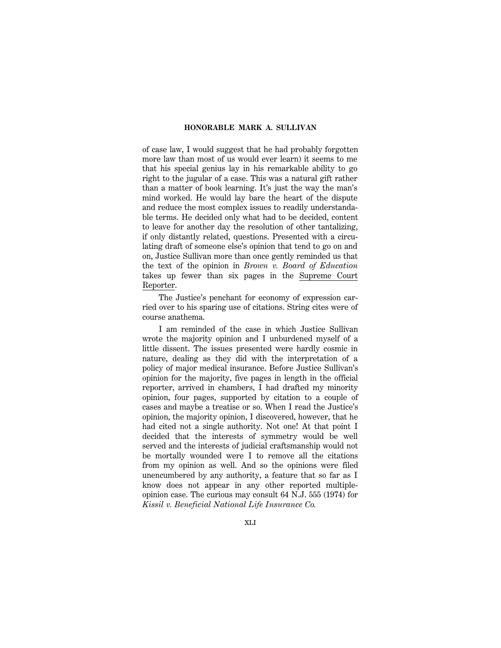of case law, I would suggest that he had probably forgotten more law than most of us would ever learn) it seems to me that his special genius lay in his remarkable ability to go right to the jugular of a case. This was a natural gift rather than a matter of book learning. It's just the way the man's mind worked. He would lay bare the heart of the dispute and reduce the most complex issues to readily understandable terms. He decided only what had to be decided, content to leave for another day the resolution of other tantalizing, if only distantly related, questions. Presented with a circulating draft of someone else's opinion that tend to go on and on, Justice Sullivan more than once gently reminded us that the text of the opinion in *Brown v. Board of Education* takes up fewer than six pages in the Supreme Court Reporter.

The Justice's penchant for economy of expression carried over to his sparing use of citations. String cites were of course anathema.

I am reminded of the case in which Justice Sullivan wrote the majority opinion and I unburdened myself of a little dissent. The issues presented were hardly cosmic in nature, dealing as they did with the interpretation of a policy of major medical insurance. Before Justice Sullivan's opinion for the majority, five pages in length in the official reporter, arrived in chambers, I had drafted my minority opinion, four pages, supported by citation to a couple of cases and maybe a treatise or so. When I read the Justice's opinion, the majority opinion, I discovered, however, that he had cited not a single authority. Not one! At that point I decided that the interests of symmetry would be well served and the interests of judicial craftsmanship would not be mortally wounded were I to remove all the citations from my opinion as well. And so the opinions were filed unencumbered by any authority, a feature that so far as I know does not appear in any other reported multipleopinion case. The curious may consult 64 N.J. 555 (1974) for *Kissil v. Beneficial National Life Insurance Co.*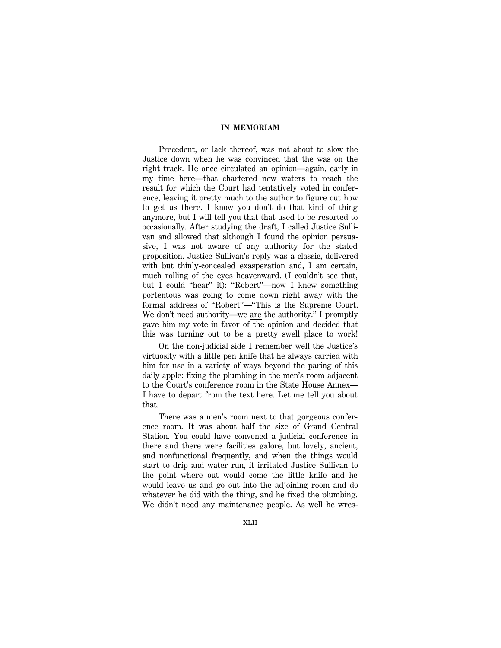Precedent, or lack thereof, was not about to slow the Justice down when he was convinced that the was on the right track. He once circulated an opinion—again, early in my time here—that chartered new waters to reach the result for which the Court had tentatively voted in conference, leaving it pretty much to the author to figure out how to get us there. I know you don't do that kind of thing anymore, but I will tell you that that used to be resorted to occasionally. After studying the draft, I called Justice Sullivan and allowed that although I found the opinion persuasive, I was not aware of any authority for the stated proposition. Justice Sullivan's reply was a classic, delivered with but thinly-concealed exasperation and, I am certain, much rolling of the eyes heavenward. (I couldn't see that, but I could ''hear'' it): ''Robert''—now I knew something portentous was going to come down right away with the formal address of ''Robert''—''This is the Supreme Court. We don't need authority—we are the authority.'' I promptly gave him my vote in favor of the opinion and decided that this was turning out to be a pretty swell place to work!

On the non-judicial side I remember well the Justice's virtuosity with a little pen knife that he always carried with him for use in a variety of ways beyond the paring of this daily apple: fixing the plumbing in the men's room adjacent to the Court's conference room in the State House Annex— I have to depart from the text here. Let me tell you about that.

There was a men's room next to that gorgeous conference room. It was about half the size of Grand Central Station. You could have convened a judicial conference in there and there were facilities galore, but lovely, ancient, and nonfunctional frequently, and when the things would start to drip and water run, it irritated Justice Sullivan to the point where out would come the little knife and he would leave us and go out into the adjoining room and do whatever he did with the thing, and he fixed the plumbing. We didn't need any maintenance people. As well he wres-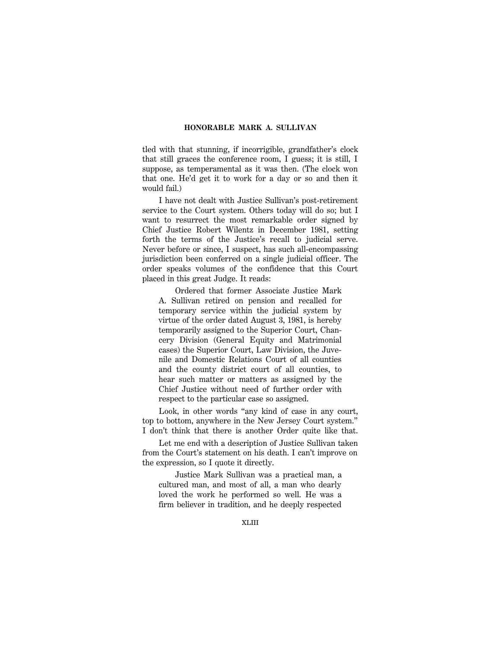tled with that stunning, if incorrigible, grandfather's clock that still graces the conference room, I guess; it is still, I suppose, as temperamental as it was then. (The clock won that one. He'd get it to work for a day or so and then it would fail.)

I have not dealt with Justice Sullivan's post-retirement service to the Court system. Others today will do so; but I want to resurrect the most remarkable order signed by Chief Justice Robert Wilentz in December 1981, setting forth the terms of the Justice's recall to judicial serve. Never before or since, I suspect, has such all-encompassing jurisdiction been conferred on a single judicial officer. The order speaks volumes of the confidence that this Court placed in this great Judge. It reads:

Ordered that former Associate Justice Mark A. Sullivan retired on pension and recalled for temporary service within the judicial system by virtue of the order dated August 3, 1981, is hereby temporarily assigned to the Superior Court, Chancery Division (General Equity and Matrimonial cases) the Superior Court, Law Division, the Juvenile and Domestic Relations Court of all counties and the county district court of all counties, to hear such matter or matters as assigned by the Chief Justice without need of further order with respect to the particular case so assigned.

Look, in other words "any kind of case in any court, top to bottom, anywhere in the New Jersey Court system.'' I don't think that there is another Order quite like that.

Let me end with a description of Justice Sullivan taken from the Court's statement on his death. I can't improve on the expression, so I quote it directly.

Justice Mark Sullivan was a practical man, a cultured man, and most of all, a man who dearly loved the work he performed so well. He was a firm believer in tradition, and he deeply respected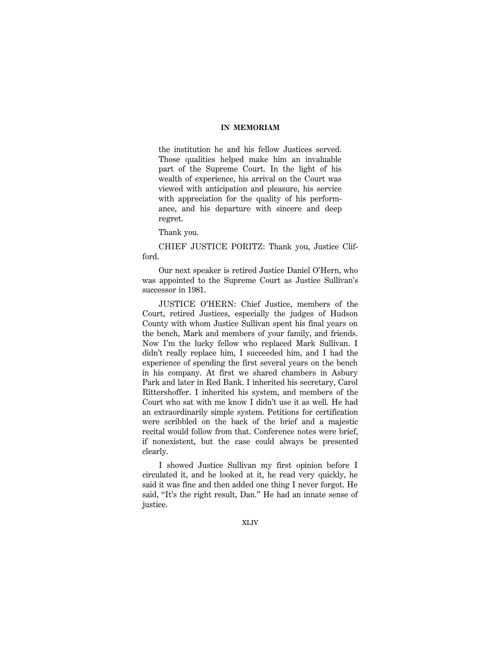the institution he and his fellow Justices served. Those qualities helped make him an invaluable part of the Supreme Court. In the light of his wealth of experience, his arrival on the Court was viewed with anticipation and pleasure, his service with appreciation for the quality of his performance, and his departure with sincere and deep regret.

Thank you.

CHIEF JUSTICE PORITZ: Thank you, Justice Clifford.

Our next speaker is retired Justice Daniel O'Hern, who was appointed to the Supreme Court as Justice Sullivan's successor in 1981.

JUSTICE O'HERN: Chief Justice, members of the Court, retired Justices, especially the judges of Hudson County with whom Justice Sullivan spent his final years on the bench, Mark and members of your family, and friends. Now I'm the lucky fellow who replaced Mark Sullivan. I didn't really replace him, I succeeded him, and I had the experience of spending the first several years on the bench in his company. At first we shared chambers in Asbury Park and later in Red Bank. I inherited his secretary, Carol Rittershoffer. I inherited his system, and members of the Court who sat with me know I didn't use it as well. He had an extraordinarily simple system. Petitions for certification were scribbled on the back of the brief and a majestic recital would follow from that. Conference notes were brief, if nonexistent, but the case could always be presented clearly.

I showed Justice Sullivan my first opinion before I circulated it, and he looked at it, he read very quickly, he said it was fine and then added one thing I never forgot. He said, ''It's the right result, Dan.'' He had an innate sense of justice.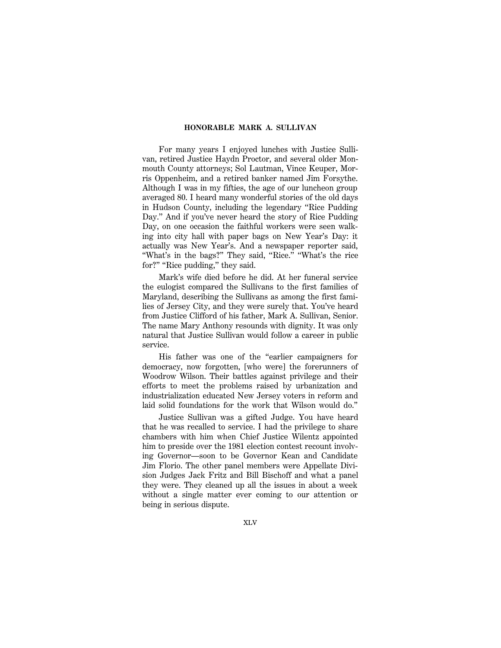For many years I enjoyed lunches with Justice Sullivan, retired Justice Haydn Proctor, and several older Monmouth County attorneys; Sol Lautman, Vince Keuper, Morris Oppenheim, and a retired banker named Jim Forsythe. Although I was in my fifties, the age of our luncheon group averaged 80. I heard many wonderful stories of the old days in Hudson County, including the legendary ''Rice Pudding Day.'' And if you've never heard the story of Rice Pudding Day, on one occasion the faithful workers were seen walking into city hall with paper bags on New Year's Day: it actually was New Year's. And a newspaper reporter said, "What's in the bags?" They said, "Rice." "What's the rice for?" "Rice pudding," they said.

Mark's wife died before he did. At her funeral service the eulogist compared the Sullivans to the first families of Maryland, describing the Sullivans as among the first families of Jersey City, and they were surely that. You've heard from Justice Clifford of his father, Mark A. Sullivan, Senior. The name Mary Anthony resounds with dignity. It was only natural that Justice Sullivan would follow a career in public service.

His father was one of the ''earlier campaigners for democracy, now forgotten, [who were] the forerunners of Woodrow Wilson. Their battles against privilege and their efforts to meet the problems raised by urbanization and industrialization educated New Jersey voters in reform and laid solid foundations for the work that Wilson would do.''

Justice Sullivan was a gifted Judge. You have heard that he was recalled to service. I had the privilege to share chambers with him when Chief Justice Wilentz appointed him to preside over the 1981 election contest recount involving Governor—soon to be Governor Kean and Candidate Jim Florio. The other panel members were Appellate Division Judges Jack Fritz and Bill Bischoff and what a panel they were. They cleaned up all the issues in about a week without a single matter ever coming to our attention or being in serious dispute.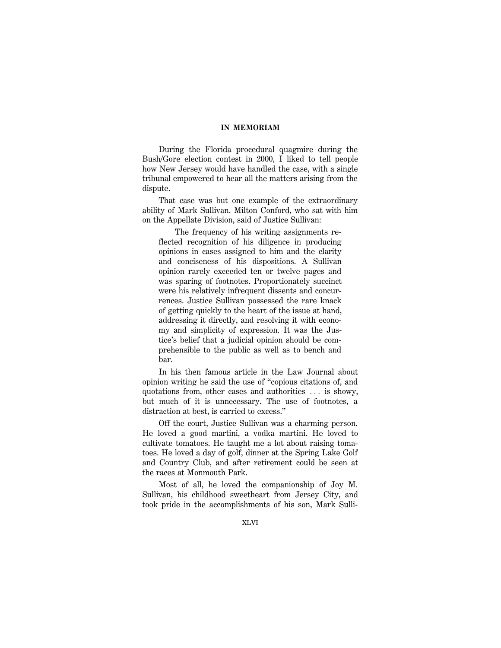During the Florida procedural quagmire during the Bush/Gore election contest in 2000, I liked to tell people how New Jersey would have handled the case, with a single tribunal empowered to hear all the matters arising from the dispute.

That case was but one example of the extraordinary ability of Mark Sullivan. Milton Conford, who sat with him on the Appellate Division, said of Justice Sullivan:

The frequency of his writing assignments reflected recognition of his diligence in producing opinions in cases assigned to him and the clarity and conciseness of his dispositions. A Sullivan opinion rarely exceeded ten or twelve pages and was sparing of footnotes. Proportionately succinct were his relatively infrequent dissents and concurrences. Justice Sullivan possessed the rare knack of getting quickly to the heart of the issue at hand, addressing it directly, and resolving it with economy and simplicity of expression. It was the Justice's belief that a judicial opinion should be comprehensible to the public as well as to bench and bar.

In his then famous article in the Law Journal about opinion writing he said the use of ''copious citations of, and quotations from, other cases and authorities  $\ldots$  is showy, but much of it is unnecessary. The use of footnotes, a distraction at best, is carried to excess.''

Off the court, Justice Sullivan was a charming person. He loved a good martini, a vodka martini. He loved to cultivate tomatoes. He taught me a lot about raising tomatoes. He loved a day of golf, dinner at the Spring Lake Golf and Country Club, and after retirement could be seen at the races at Monmouth Park.

Most of all, he loved the companionship of Joy M. Sullivan, his childhood sweetheart from Jersey City, and took pride in the accomplishments of his son, Mark Sulli-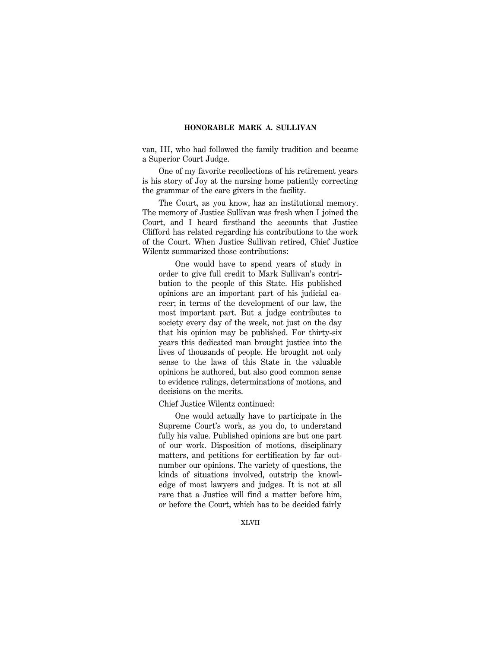van, III, who had followed the family tradition and became a Superior Court Judge.

One of my favorite recollections of his retirement years is his story of Joy at the nursing home patiently correcting the grammar of the care givers in the facility.

The Court, as you know, has an institutional memory. The memory of Justice Sullivan was fresh when I joined the Court, and I heard firsthand the accounts that Justice Clifford has related regarding his contributions to the work of the Court. When Justice Sullivan retired, Chief Justice Wilentz summarized those contributions:

One would have to spend years of study in order to give full credit to Mark Sullivan's contribution to the people of this State. His published opinions are an important part of his judicial career; in terms of the development of our law, the most important part. But a judge contributes to society every day of the week, not just on the day that his opinion may be published. For thirty-six years this dedicated man brought justice into the lives of thousands of people. He brought not only sense to the laws of this State in the valuable opinions he authored, but also good common sense to evidence rulings, determinations of motions, and decisions on the merits.

Chief Justice Wilentz continued:

One would actually have to participate in the Supreme Court's work, as you do, to understand fully his value. Published opinions are but one part of our work. Disposition of motions, disciplinary matters, and petitions for certification by far outnumber our opinions. The variety of questions, the kinds of situations involved, outstrip the knowledge of most lawyers and judges. It is not at all rare that a Justice will find a matter before him, or before the Court, which has to be decided fairly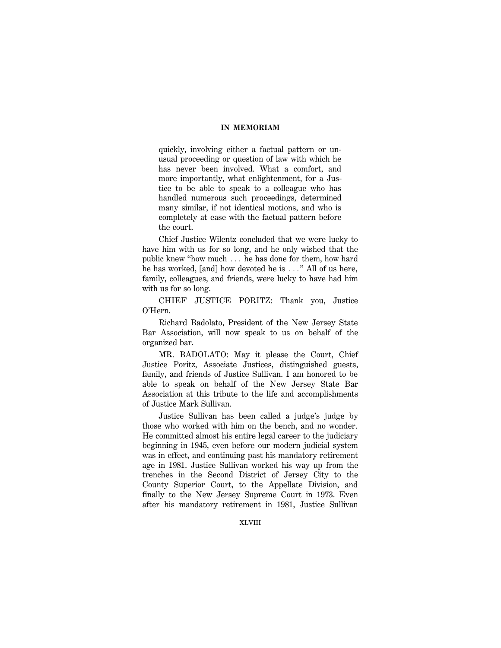quickly, involving either a factual pattern or unusual proceeding or question of law with which he has never been involved. What a comfort, and more importantly, what enlightenment, for a Justice to be able to speak to a colleague who has handled numerous such proceedings, determined many similar, if not identical motions, and who is completely at ease with the factual pattern before the court.

Chief Justice Wilentz concluded that we were lucky to have him with us for so long, and he only wished that the public knew "how much  $\ldots$  he has done for them, how hard he has worked, [and] how devoted he is  $\dots$ " All of us here, family, colleagues, and friends, were lucky to have had him with us for so long.

CHIEF JUSTICE PORITZ: Thank you, Justice O'Hern.

Richard Badolato, President of the New Jersey State Bar Association, will now speak to us on behalf of the organized bar.

MR. BADOLATO: May it please the Court, Chief Justice Poritz, Associate Justices, distinguished guests, family, and friends of Justice Sullivan. I am honored to be able to speak on behalf of the New Jersey State Bar Association at this tribute to the life and accomplishments of Justice Mark Sullivan.

Justice Sullivan has been called a judge's judge by those who worked with him on the bench, and no wonder. He committed almost his entire legal career to the judiciary beginning in 1945, even before our modern judicial system was in effect, and continuing past his mandatory retirement age in 1981. Justice Sullivan worked his way up from the trenches in the Second District of Jersey City to the County Superior Court, to the Appellate Division, and finally to the New Jersey Supreme Court in 1973. Even after his mandatory retirement in 1981, Justice Sullivan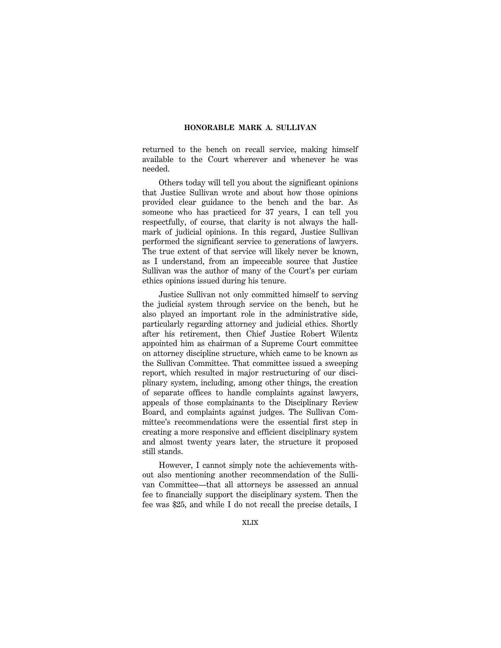returned to the bench on recall service, making himself available to the Court wherever and whenever he was needed.

Others today will tell you about the significant opinions that Justice Sullivan wrote and about how those opinions provided clear guidance to the bench and the bar. As someone who has practiced for 37 years, I can tell you respectfully, of course, that clarity is not always the hallmark of judicial opinions. In this regard, Justice Sullivan performed the significant service to generations of lawyers. The true extent of that service will likely never be known, as I understand, from an impeccable source that Justice Sullivan was the author of many of the Court's per curiam ethics opinions issued during his tenure.

Justice Sullivan not only committed himself to serving the judicial system through service on the bench, but he also played an important role in the administrative side, particularly regarding attorney and judicial ethics. Shortly after his retirement, then Chief Justice Robert Wilentz appointed him as chairman of a Supreme Court committee on attorney discipline structure, which came to be known as the Sullivan Committee. That committee issued a sweeping report, which resulted in major restructuring of our disciplinary system, including, among other things, the creation of separate offices to handle complaints against lawyers, appeals of those complainants to the Disciplinary Review Board, and complaints against judges. The Sullivan Committee's recommendations were the essential first step in creating a more responsive and efficient disciplinary system and almost twenty years later, the structure it proposed still stands.

However, I cannot simply note the achievements without also mentioning another recommendation of the Sullivan Committee—that all attorneys be assessed an annual fee to financially support the disciplinary system. Then the fee was \$25, and while I do not recall the precise details, I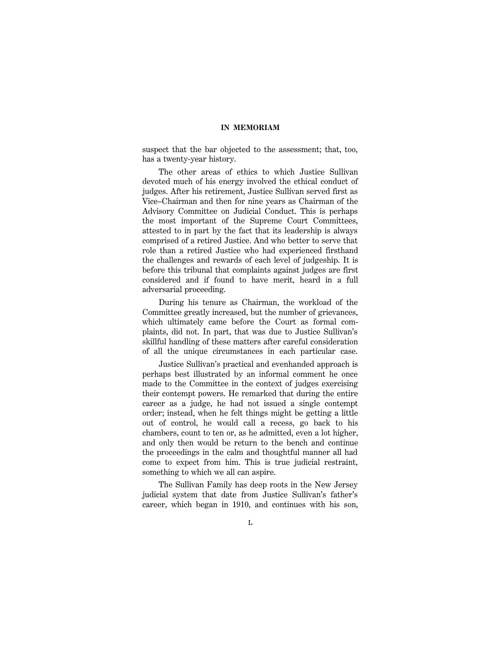suspect that the bar objected to the assessment; that, too, has a twenty-year history.

The other areas of ethics to which Justice Sullivan devoted much of his energy involved the ethical conduct of judges. After his retirement, Justice Sullivan served first as Vice–Chairman and then for nine years as Chairman of the Advisory Committee on Judicial Conduct. This is perhaps the most important of the Supreme Court Committees, attested to in part by the fact that its leadership is always comprised of a retired Justice. And who better to serve that role than a retired Justice who had experienced firsthand the challenges and rewards of each level of judgeship. It is before this tribunal that complaints against judges are first considered and if found to have merit, heard in a full adversarial proceeding.

During his tenure as Chairman, the workload of the Committee greatly increased, but the number of grievances, which ultimately came before the Court as formal complaints, did not. In part, that was due to Justice Sullivan's skillful handling of these matters after careful consideration of all the unique circumstances in each particular case.

Justice Sullivan's practical and evenhanded approach is perhaps best illustrated by an informal comment he once made to the Committee in the context of judges exercising their contempt powers. He remarked that during the entire career as a judge, he had not issued a single contempt order; instead, when he felt things might be getting a little out of control, he would call a recess, go back to his chambers, count to ten or, as he admitted, even a lot higher, and only then would be return to the bench and continue the proceedings in the calm and thoughtful manner all had come to expect from him. This is true judicial restraint, something to which we all can aspire.

The Sullivan Family has deep roots in the New Jersey judicial system that date from Justice Sullivan's father's career, which began in 1910, and continues with his son,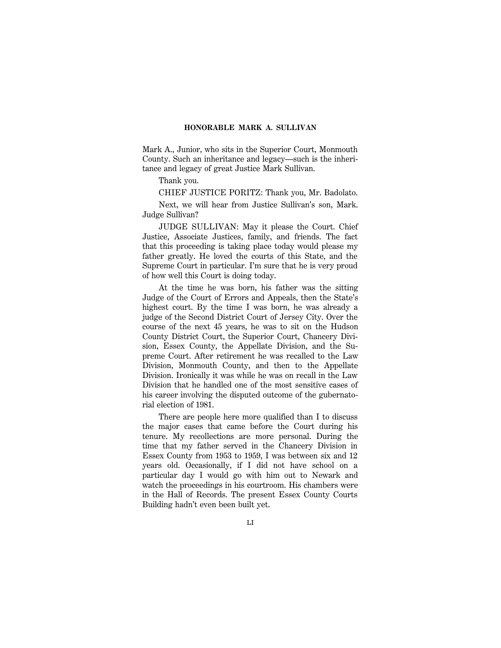Mark A., Junior, who sits in the Superior Court, Monmouth County. Such an inheritance and legacy—such is the inheritance and legacy of great Justice Mark Sullivan.

Thank you.

CHIEF JUSTICE PORITZ: Thank you, Mr. Badolato.

Next, we will hear from Justice Sullivan's son, Mark. Judge Sullivan?

JUDGE SULLIVAN: May it please the Court. Chief Justice, Associate Justices, family, and friends. The fact that this proceeding is taking place today would please my father greatly. He loved the courts of this State, and the Supreme Court in particular. I'm sure that he is very proud of how well this Court is doing today.

At the time he was born, his father was the sitting Judge of the Court of Errors and Appeals, then the State's highest court. By the time I was born, he was already a judge of the Second District Court of Jersey City. Over the course of the next 45 years, he was to sit on the Hudson County District Court, the Superior Court, Chancery Division, Essex County, the Appellate Division, and the Supreme Court. After retirement he was recalled to the Law Division, Monmouth County, and then to the Appellate Division. Ironically it was while he was on recall in the Law Division that he handled one of the most sensitive cases of his career involving the disputed outcome of the gubernatorial election of 1981.

There are people here more qualified than I to discuss the major cases that came before the Court during his tenure. My recollections are more personal. During the time that my father served in the Chancery Division in Essex County from 1953 to 1959, I was between six and 12 years old. Occasionally, if I did not have school on a particular day I would go with him out to Newark and watch the proceedings in his courtroom. His chambers were in the Hall of Records. The present Essex County Courts Building hadn't even been built yet.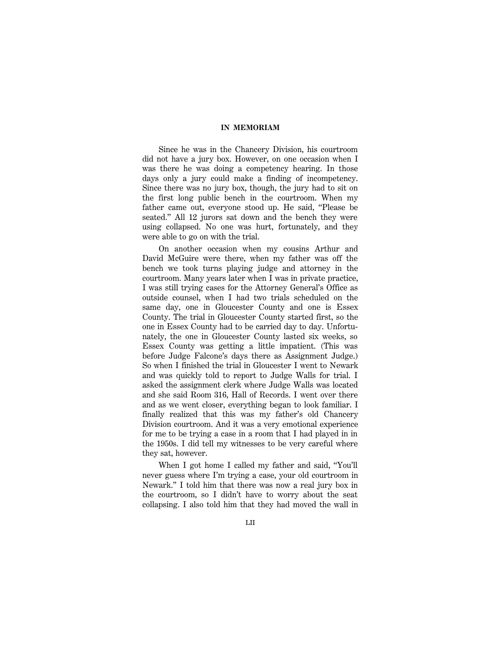Since he was in the Chancery Division, his courtroom did not have a jury box. However, on one occasion when I was there he was doing a competency hearing. In those days only a jury could make a finding of incompetency. Since there was no jury box, though, the jury had to sit on the first long public bench in the courtroom. When my father came out, everyone stood up. He said, ''Please be seated.'' All 12 jurors sat down and the bench they were using collapsed. No one was hurt, fortunately, and they were able to go on with the trial.

On another occasion when my cousins Arthur and David McGuire were there, when my father was off the bench we took turns playing judge and attorney in the courtroom. Many years later when I was in private practice, I was still trying cases for the Attorney General's Office as outside counsel, when I had two trials scheduled on the same day, one in Gloucester County and one is Essex County. The trial in Gloucester County started first, so the one in Essex County had to be carried day to day. Unfortunately, the one in Gloucester County lasted six weeks, so Essex County was getting a little impatient. (This was before Judge Falcone's days there as Assignment Judge.) So when I finished the trial in Gloucester I went to Newark and was quickly told to report to Judge Walls for trial. I asked the assignment clerk where Judge Walls was located and she said Room 316, Hall of Records. I went over there and as we went closer, everything began to look familiar. I finally realized that this was my father's old Chancery Division courtroom. And it was a very emotional experience for me to be trying a case in a room that I had played in in the 1950s. I did tell my witnesses to be very careful where they sat, however.

When I got home I called my father and said, ''You'll never guess where I'm trying a case, your old courtroom in Newark.'' I told him that there was now a real jury box in the courtroom, so I didn't have to worry about the seat collapsing. I also told him that they had moved the wall in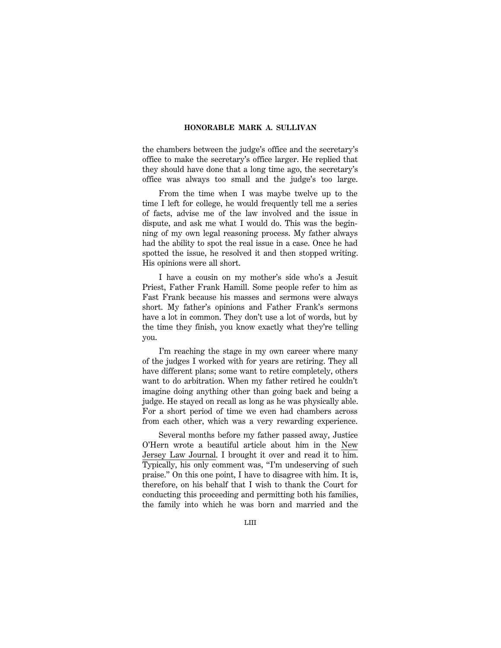the chambers between the judge's office and the secretary's office to make the secretary's office larger. He replied that they should have done that a long time ago, the secretary's office was always too small and the judge's too large.

From the time when I was maybe twelve up to the time I left for college, he would frequently tell me a series of facts, advise me of the law involved and the issue in dispute, and ask me what I would do. This was the beginning of my own legal reasoning process. My father always had the ability to spot the real issue in a case. Once he had spotted the issue, he resolved it and then stopped writing. His opinions were all short.

I have a cousin on my mother's side who's a Jesuit Priest, Father Frank Hamill. Some people refer to him as Fast Frank because his masses and sermons were always short. My father's opinions and Father Frank's sermons have a lot in common. They don't use a lot of words, but by the time they finish, you know exactly what they're telling you.

I'm reaching the stage in my own career where many of the judges I worked with for years are retiring. They all have different plans; some want to retire completely, others want to do arbitration. When my father retired he couldn't imagine doing anything other than going back and being a judge. He stayed on recall as long as he was physically able. For a short period of time we even had chambers across from each other, which was a very rewarding experience.

Several months before my father passed away, Justice O'Hern wrote a beautiful article about him in the New Jersey Law Journal. I brought it over and read it to him. Typically, his only comment was, "I'm undeserving of such praise.'' On this one point, I have to disagree with him. It is, therefore, on his behalf that I wish to thank the Court for conducting this proceeding and permitting both his families, the family into which he was born and married and the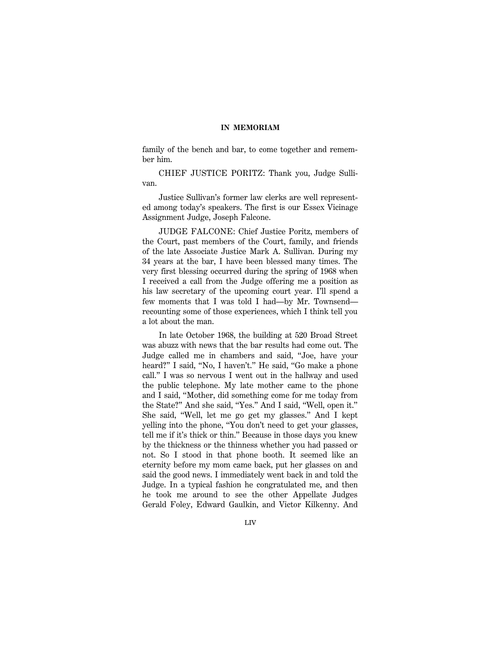family of the bench and bar, to come together and remember him.

CHIEF JUSTICE PORITZ: Thank you, Judge Sullivan.

Justice Sullivan's former law clerks are well represented among today's speakers. The first is our Essex Vicinage Assignment Judge, Joseph Falcone.

JUDGE FALCONE: Chief Justice Poritz, members of the Court, past members of the Court, family, and friends of the late Associate Justice Mark A. Sullivan. During my 34 years at the bar, I have been blessed many times. The very first blessing occurred during the spring of 1968 when I received a call from the Judge offering me a position as his law secretary of the upcoming court year. I'll spend a few moments that I was told I had—by Mr. Townsend recounting some of those experiences, which I think tell you a lot about the man.

In late October 1968, the building at 520 Broad Street was abuzz with news that the bar results had come out. The Judge called me in chambers and said, ''Joe, have your heard?" I said, "No, I haven't." He said, "Go make a phone call.'' I was so nervous I went out in the hallway and used the public telephone. My late mother came to the phone and I said, ''Mother, did something come for me today from the State?'' And she said, ''Yes.'' And I said, ''Well, open it.'' She said, ''Well, let me go get my glasses.'' And I kept yelling into the phone, ''You don't need to get your glasses, tell me if it's thick or thin.'' Because in those days you knew by the thickness or the thinness whether you had passed or not. So I stood in that phone booth. It seemed like an eternity before my mom came back, put her glasses on and said the good news. I immediately went back in and told the Judge. In a typical fashion he congratulated me, and then he took me around to see the other Appellate Judges Gerald Foley, Edward Gaulkin, and Victor Kilkenny. And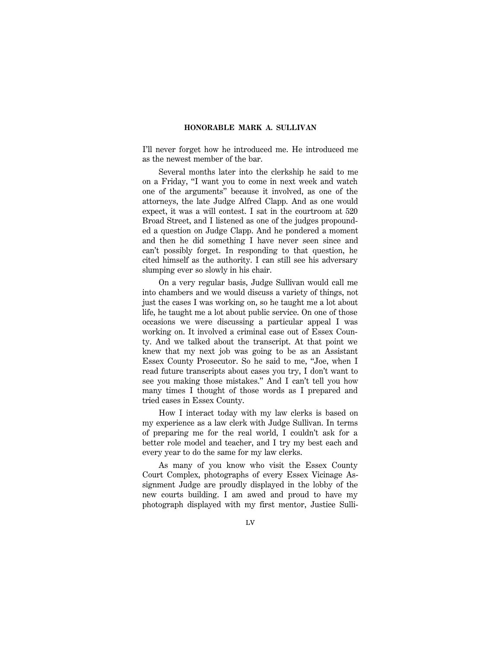I'll never forget how he introduced me. He introduced me as the newest member of the bar.

Several months later into the clerkship he said to me on a Friday, ''I want you to come in next week and watch one of the arguments'' because it involved, as one of the attorneys, the late Judge Alfred Clapp. And as one would expect, it was a will contest. I sat in the courtroom at 520 Broad Street, and I listened as one of the judges propounded a question on Judge Clapp. And he pondered a moment and then he did something I have never seen since and can't possibly forget. In responding to that question, he cited himself as the authority. I can still see his adversary slumping ever so slowly in his chair.

On a very regular basis, Judge Sullivan would call me into chambers and we would discuss a variety of things, not just the cases I was working on, so he taught me a lot about life, he taught me a lot about public service. On one of those occasions we were discussing a particular appeal I was working on. It involved a criminal case out of Essex County. And we talked about the transcript. At that point we knew that my next job was going to be as an Assistant Essex County Prosecutor. So he said to me, ''Joe, when I read future transcripts about cases you try, I don't want to see you making those mistakes.'' And I can't tell you how many times I thought of those words as I prepared and tried cases in Essex County.

How I interact today with my law clerks is based on my experience as a law clerk with Judge Sullivan. In terms of preparing me for the real world, I couldn't ask for a better role model and teacher, and I try my best each and every year to do the same for my law clerks.

As many of you know who visit the Essex County Court Complex, photographs of every Essex Vicinage Assignment Judge are proudly displayed in the lobby of the new courts building. I am awed and proud to have my photograph displayed with my first mentor, Justice Sulli-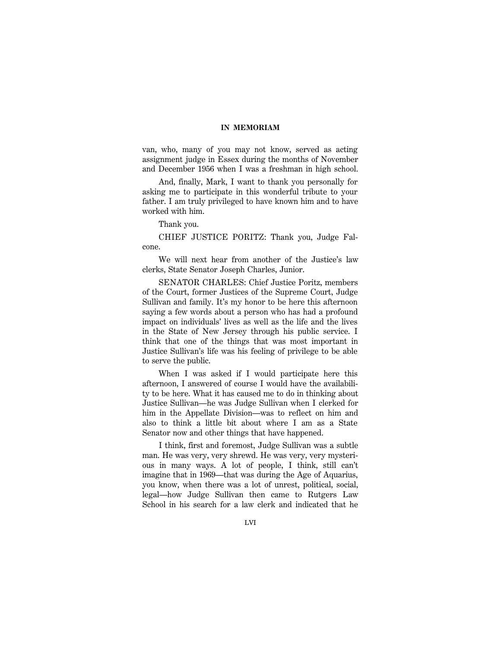van, who, many of you may not know, served as acting assignment judge in Essex during the months of November and December 1956 when I was a freshman in high school.

And, finally, Mark, I want to thank you personally for asking me to participate in this wonderful tribute to your father. I am truly privileged to have known him and to have worked with him.

Thank you.

CHIEF JUSTICE PORITZ: Thank you, Judge Falcone.

We will next hear from another of the Justice's law clerks, State Senator Joseph Charles, Junior.

SENATOR CHARLES: Chief Justice Poritz, members of the Court, former Justices of the Supreme Court, Judge Sullivan and family. It's my honor to be here this afternoon saying a few words about a person who has had a profound impact on individuals' lives as well as the life and the lives in the State of New Jersey through his public service. I think that one of the things that was most important in Justice Sullivan's life was his feeling of privilege to be able to serve the public.

When I was asked if I would participate here this afternoon, I answered of course I would have the availability to be here. What it has caused me to do in thinking about Justice Sullivan—he was Judge Sullivan when I clerked for him in the Appellate Division—was to reflect on him and also to think a little bit about where I am as a State Senator now and other things that have happened.

I think, first and foremost, Judge Sullivan was a subtle man. He was very, very shrewd. He was very, very mysterious in many ways. A lot of people, I think, still can't imagine that in 1969—that was during the Age of Aquarius, you know, when there was a lot of unrest, political, social, legal—how Judge Sullivan then came to Rutgers Law School in his search for a law clerk and indicated that he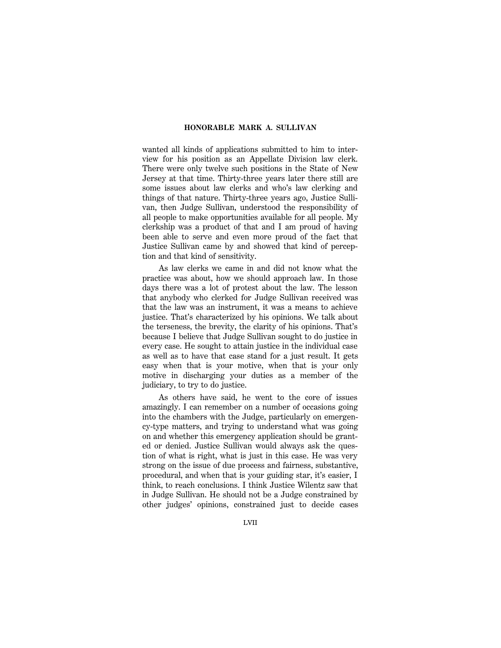wanted all kinds of applications submitted to him to interview for his position as an Appellate Division law clerk. There were only twelve such positions in the State of New Jersey at that time. Thirty-three years later there still are some issues about law clerks and who's law clerking and things of that nature. Thirty-three years ago, Justice Sullivan, then Judge Sullivan, understood the responsibility of all people to make opportunities available for all people. My clerkship was a product of that and I am proud of having been able to serve and even more proud of the fact that Justice Sullivan came by and showed that kind of perception and that kind of sensitivity.

As law clerks we came in and did not know what the practice was about, how we should approach law. In those days there was a lot of protest about the law. The lesson that anybody who clerked for Judge Sullivan received was that the law was an instrument, it was a means to achieve justice. That's characterized by his opinions. We talk about the terseness, the brevity, the clarity of his opinions. That's because I believe that Judge Sullivan sought to do justice in every case. He sought to attain justice in the individual case as well as to have that case stand for a just result. It gets easy when that is your motive, when that is your only motive in discharging your duties as a member of the judiciary, to try to do justice.

As others have said, he went to the core of issues amazingly. I can remember on a number of occasions going into the chambers with the Judge, particularly on emergency-type matters, and trying to understand what was going on and whether this emergency application should be granted or denied. Justice Sullivan would always ask the question of what is right, what is just in this case. He was very strong on the issue of due process and fairness, substantive, procedural, and when that is your guiding star, it's easier, I think, to reach conclusions. I think Justice Wilentz saw that in Judge Sullivan. He should not be a Judge constrained by other judges' opinions, constrained just to decide cases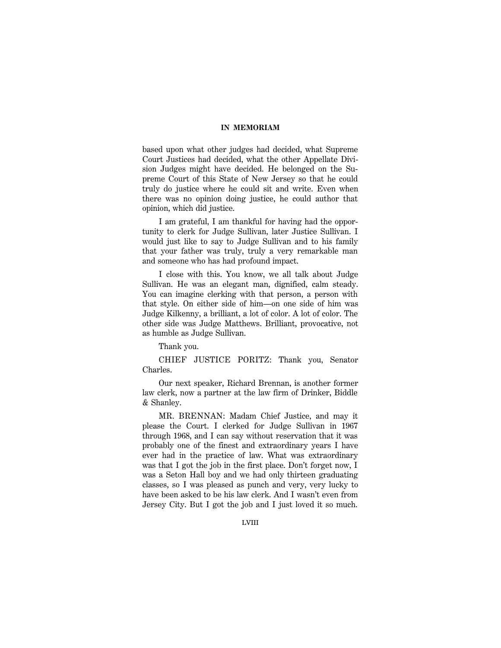based upon what other judges had decided, what Supreme Court Justices had decided, what the other Appellate Division Judges might have decided. He belonged on the Supreme Court of this State of New Jersey so that he could truly do justice where he could sit and write. Even when there was no opinion doing justice, he could author that opinion, which did justice.

I am grateful, I am thankful for having had the opportunity to clerk for Judge Sullivan, later Justice Sullivan. I would just like to say to Judge Sullivan and to his family that your father was truly, truly a very remarkable man and someone who has had profound impact.

I close with this. You know, we all talk about Judge Sullivan. He was an elegant man, dignified, calm steady. You can imagine clerking with that person, a person with that style. On either side of him—on one side of him was Judge Kilkenny, a brilliant, a lot of color. A lot of color. The other side was Judge Matthews. Brilliant, provocative, not as humble as Judge Sullivan.

Thank you.

CHIEF JUSTICE PORITZ: Thank you, Senator Charles.

Our next speaker, Richard Brennan, is another former law clerk, now a partner at the law firm of Drinker, Biddle & Shanley.

MR. BRENNAN: Madam Chief Justice, and may it please the Court. I clerked for Judge Sullivan in 1967 through 1968, and I can say without reservation that it was probably one of the finest and extraordinary years I have ever had in the practice of law. What was extraordinary was that I got the job in the first place. Don't forget now, I was a Seton Hall boy and we had only thirteen graduating classes, so I was pleased as punch and very, very lucky to have been asked to be his law clerk. And I wasn't even from Jersey City. But I got the job and I just loved it so much.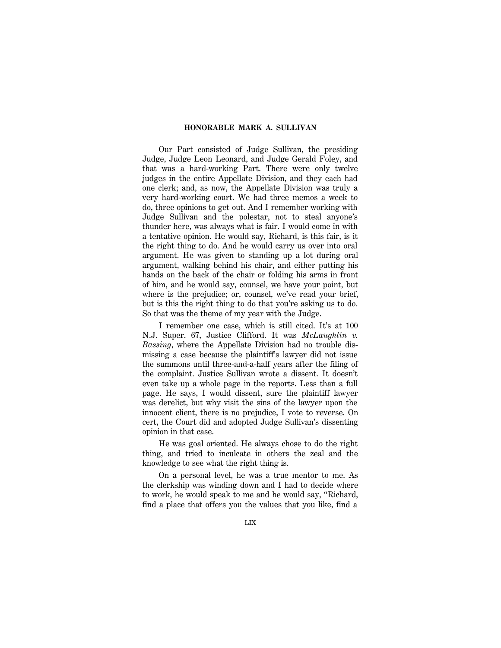Our Part consisted of Judge Sullivan, the presiding Judge, Judge Leon Leonard, and Judge Gerald Foley, and that was a hard-working Part. There were only twelve judges in the entire Appellate Division, and they each had one clerk; and, as now, the Appellate Division was truly a very hard-working court. We had three memos a week to do, three opinions to get out. And I remember working with Judge Sullivan and the polestar, not to steal anyone's thunder here, was always what is fair. I would come in with a tentative opinion. He would say, Richard, is this fair, is it the right thing to do. And he would carry us over into oral argument. He was given to standing up a lot during oral argument, walking behind his chair, and either putting his hands on the back of the chair or folding his arms in front of him, and he would say, counsel, we have your point, but where is the prejudice; or, counsel, we've read your brief, but is this the right thing to do that you're asking us to do. So that was the theme of my year with the Judge.

I remember one case, which is still cited. It's at 100 N.J. Super. 67, Justice Clifford. It was *McLaughlin v. Bassing*, where the Appellate Division had no trouble dismissing a case because the plaintiff's lawyer did not issue the summons until three-and-a-half years after the filing of the complaint. Justice Sullivan wrote a dissent. It doesn't even take up a whole page in the reports. Less than a full page. He says, I would dissent, sure the plaintiff lawyer was derelict, but why visit the sins of the lawyer upon the innocent client, there is no prejudice, I vote to reverse. On cert, the Court did and adopted Judge Sullivan's dissenting opinion in that case.

He was goal oriented. He always chose to do the right thing, and tried to inculcate in others the zeal and the knowledge to see what the right thing is.

On a personal level, he was a true mentor to me. As the clerkship was winding down and I had to decide where to work, he would speak to me and he would say, ''Richard, find a place that offers you the values that you like, find a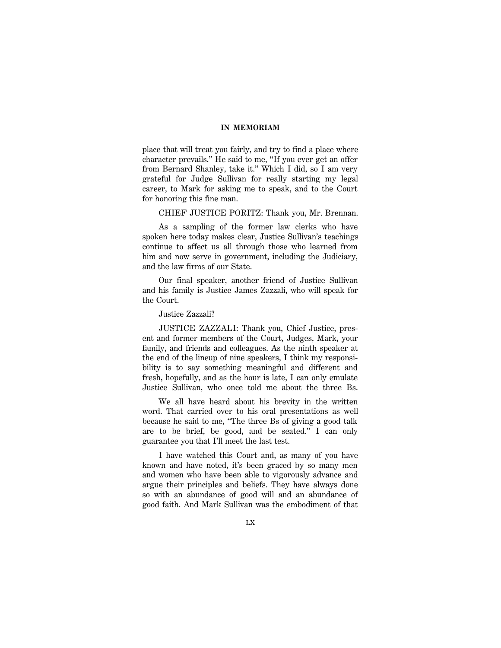place that will treat you fairly, and try to find a place where character prevails.'' He said to me, ''If you ever get an offer from Bernard Shanley, take it.'' Which I did, so I am very grateful for Judge Sullivan for really starting my legal career, to Mark for asking me to speak, and to the Court for honoring this fine man.

CHIEF JUSTICE PORITZ: Thank you, Mr. Brennan.

As a sampling of the former law clerks who have spoken here today makes clear, Justice Sullivan's teachings continue to affect us all through those who learned from him and now serve in government, including the Judiciary, and the law firms of our State.

Our final speaker, another friend of Justice Sullivan and his family is Justice James Zazzali, who will speak for the Court.

Justice Zazzali?

JUSTICE ZAZZALI: Thank you, Chief Justice, present and former members of the Court, Judges, Mark, your family, and friends and colleagues. As the ninth speaker at the end of the lineup of nine speakers, I think my responsibility is to say something meaningful and different and fresh, hopefully, and as the hour is late, I can only emulate Justice Sullivan, who once told me about the three Bs.

We all have heard about his brevity in the written word. That carried over to his oral presentations as well because he said to me, ''The three Bs of giving a good talk are to be brief, be good, and be seated.'' I can only guarantee you that I'll meet the last test.

I have watched this Court and, as many of you have known and have noted, it's been graced by so many men and women who have been able to vigorously advance and argue their principles and beliefs. They have always done so with an abundance of good will and an abundance of good faith. And Mark Sullivan was the embodiment of that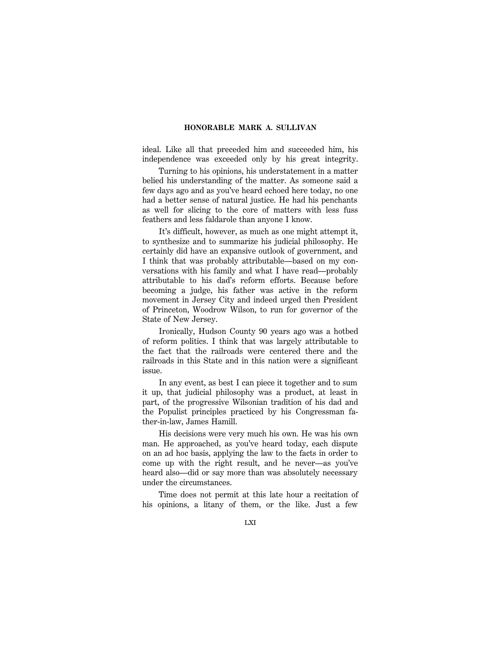ideal. Like all that preceded him and succeeded him, his independence was exceeded only by his great integrity.

Turning to his opinions, his understatement in a matter belied his understanding of the matter. As someone said a few days ago and as you've heard echoed here today, no one had a better sense of natural justice. He had his penchants as well for slicing to the core of matters with less fuss feathers and less faldarole than anyone I know.

It's difficult, however, as much as one might attempt it, to synthesize and to summarize his judicial philosophy. He certainly did have an expansive outlook of government, and I think that was probably attributable—based on my conversations with his family and what I have read—probably attributable to his dad's reform efforts. Because before becoming a judge, his father was active in the reform movement in Jersey City and indeed urged then President of Princeton, Woodrow Wilson, to run for governor of the State of New Jersey.

Ironically, Hudson County 90 years ago was a hotbed of reform politics. I think that was largely attributable to the fact that the railroads were centered there and the railroads in this State and in this nation were a significant issue.

In any event, as best I can piece it together and to sum it up, that judicial philosophy was a product, at least in part, of the progressive Wilsonian tradition of his dad and the Populist principles practiced by his Congressman father-in-law, James Hamill.

His decisions were very much his own. He was his own man. He approached, as you've heard today, each dispute on an ad hoc basis, applying the law to the facts in order to come up with the right result, and he never—as you've heard also—did or say more than was absolutely necessary under the circumstances.

Time does not permit at this late hour a recitation of his opinions, a litany of them, or the like. Just a few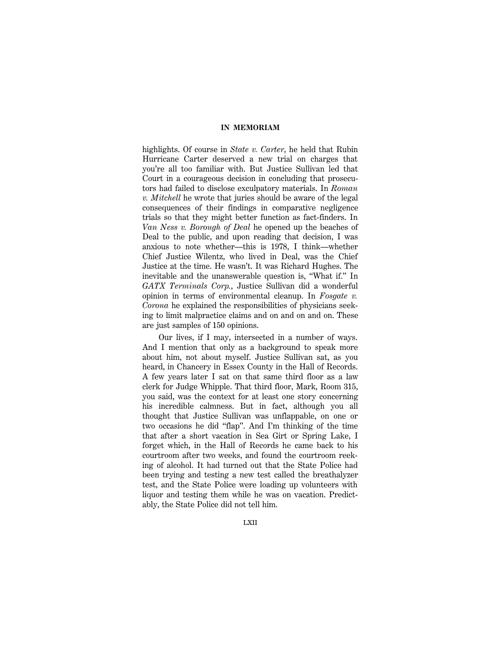highlights. Of course in *State v. Carter*, he held that Rubin Hurricane Carter deserved a new trial on charges that you're all too familiar with. But Justice Sullivan led that Court in a courageous decision in concluding that prosecutors had failed to disclose exculpatory materials. In *Roman v. Mitchell* he wrote that juries should be aware of the legal consequences of their findings in comparative negligence trials so that they might better function as fact-finders. In *Van Ness v. Borough of Deal* he opened up the beaches of Deal to the public, and upon reading that decision, I was anxious to note whether—this is 1978, I think—whether Chief Justice Wilentz, who lived in Deal, was the Chief Justice at the time. He wasn't. It was Richard Hughes. The inevitable and the unanswerable question is, ''What if.'' In *GATX Terminals Corp.*, Justice Sullivan did a wonderful opinion in terms of environmental cleanup. In *Fosgate v. Corona* he explained the responsibilities of physicians seeking to limit malpractice claims and on and on and on. These are just samples of 150 opinions.

Our lives, if I may, intersected in a number of ways. And I mention that only as a background to speak more about him, not about myself. Justice Sullivan sat, as you heard, in Chancery in Essex County in the Hall of Records. A few years later I sat on that same third floor as a law clerk for Judge Whipple. That third floor, Mark, Room 315, you said, was the context for at least one story concerning his incredible calmness. But in fact, although you all thought that Justice Sullivan was unflappable, on one or two occasions he did ''flap''. And I'm thinking of the time that after a short vacation in Sea Girt or Spring Lake, I forget which, in the Hall of Records he came back to his courtroom after two weeks, and found the courtroom reeking of alcohol. It had turned out that the State Police had been trying and testing a new test called the breathalyzer test, and the State Police were loading up volunteers with liquor and testing them while he was on vacation. Predictably, the State Police did not tell him.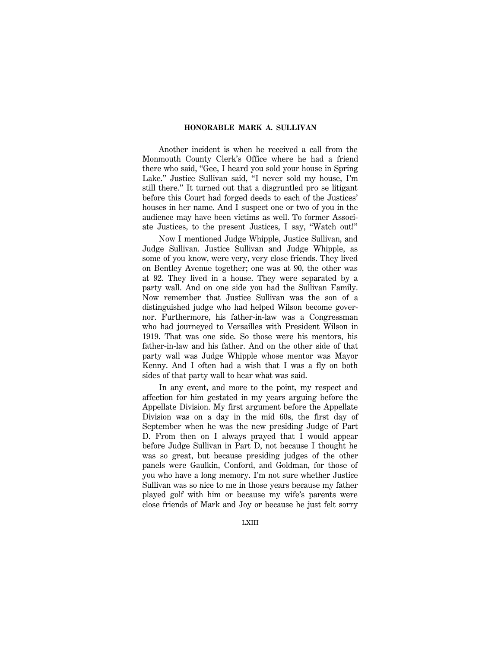Another incident is when he received a call from the Monmouth County Clerk's Office where he had a friend there who said, ''Gee, I heard you sold your house in Spring Lake." Justice Sullivan said, "I never sold my house, I'm still there.'' It turned out that a disgruntled pro se litigant before this Court had forged deeds to each of the Justices' houses in her name. And I suspect one or two of you in the audience may have been victims as well. To former Associate Justices, to the present Justices, I say, ''Watch out!''

Now I mentioned Judge Whipple, Justice Sullivan, and Judge Sullivan. Justice Sullivan and Judge Whipple, as some of you know, were very, very close friends. They lived on Bentley Avenue together; one was at 90, the other was at 92. They lived in a house. They were separated by a party wall. And on one side you had the Sullivan Family. Now remember that Justice Sullivan was the son of a distinguished judge who had helped Wilson become governor. Furthermore, his father-in-law was a Congressman who had journeyed to Versailles with President Wilson in 1919. That was one side. So those were his mentors, his father-in-law and his father. And on the other side of that party wall was Judge Whipple whose mentor was Mayor Kenny. And I often had a wish that I was a fly on both sides of that party wall to hear what was said.

In any event, and more to the point, my respect and affection for him gestated in my years arguing before the Appellate Division. My first argument before the Appellate Division was on a day in the mid 60s, the first day of September when he was the new presiding Judge of Part D. From then on I always prayed that I would appear before Judge Sullivan in Part D, not because I thought he was so great, but because presiding judges of the other panels were Gaulkin, Conford, and Goldman, for those of you who have a long memory. I'm not sure whether Justice Sullivan was so nice to me in those years because my father played golf with him or because my wife's parents were close friends of Mark and Joy or because he just felt sorry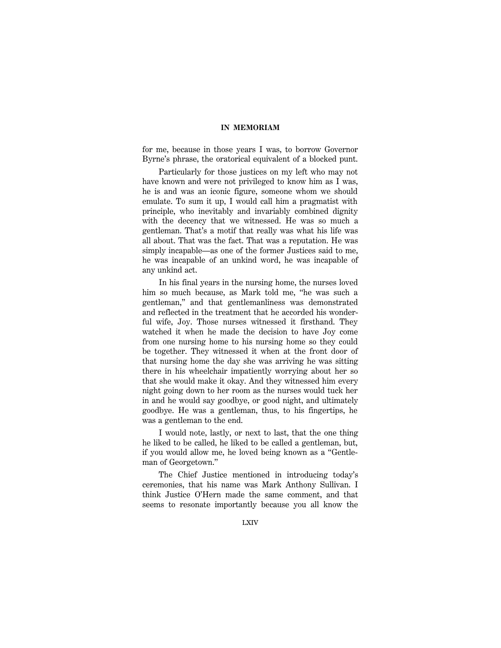for me, because in those years I was, to borrow Governor Byrne's phrase, the oratorical equivalent of a blocked punt.

Particularly for those justices on my left who may not have known and were not privileged to know him as I was, he is and was an iconic figure, someone whom we should emulate. To sum it up, I would call him a pragmatist with principle, who inevitably and invariably combined dignity with the decency that we witnessed. He was so much a gentleman. That's a motif that really was what his life was all about. That was the fact. That was a reputation. He was simply incapable—as one of the former Justices said to me, he was incapable of an unkind word, he was incapable of any unkind act.

In his final years in the nursing home, the nurses loved him so much because, as Mark told me, ''he was such a gentleman,'' and that gentlemanliness was demonstrated and reflected in the treatment that he accorded his wonderful wife, Joy. Those nurses witnessed it firsthand. They watched it when he made the decision to have Joy come from one nursing home to his nursing home so they could be together. They witnessed it when at the front door of that nursing home the day she was arriving he was sitting there in his wheelchair impatiently worrying about her so that she would make it okay. And they witnessed him every night going down to her room as the nurses would tuck her in and he would say goodbye, or good night, and ultimately goodbye. He was a gentleman, thus, to his fingertips, he was a gentleman to the end.

I would note, lastly, or next to last, that the one thing he liked to be called, he liked to be called a gentleman, but, if you would allow me, he loved being known as a ''Gentleman of Georgetown.''

The Chief Justice mentioned in introducing today's ceremonies, that his name was Mark Anthony Sullivan. I think Justice O'Hern made the same comment, and that seems to resonate importantly because you all know the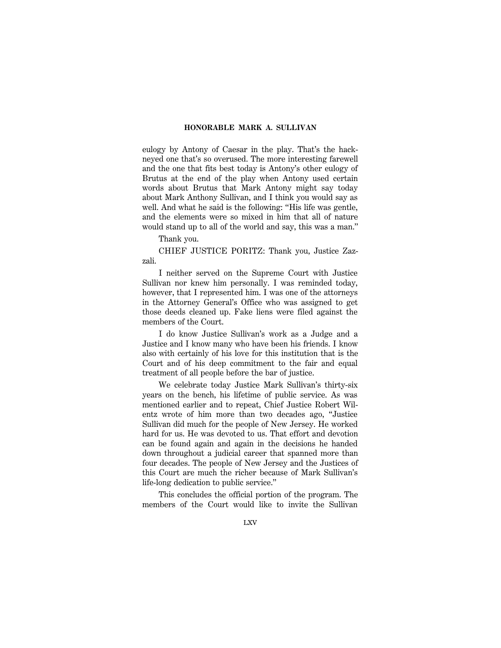eulogy by Antony of Caesar in the play. That's the hackneyed one that's so overused. The more interesting farewell and the one that fits best today is Antony's other eulogy of Brutus at the end of the play when Antony used certain words about Brutus that Mark Antony might say today about Mark Anthony Sullivan, and I think you would say as well. And what he said is the following: "His life was gentle, and the elements were so mixed in him that all of nature would stand up to all of the world and say, this was a man.''

Thank you.

CHIEF JUSTICE PORITZ: Thank you, Justice Zazzali.

I neither served on the Supreme Court with Justice Sullivan nor knew him personally. I was reminded today, however, that I represented him. I was one of the attorneys in the Attorney General's Office who was assigned to get those deeds cleaned up. Fake liens were filed against the members of the Court.

I do know Justice Sullivan's work as a Judge and a Justice and I know many who have been his friends. I know also with certainly of his love for this institution that is the Court and of his deep commitment to the fair and equal treatment of all people before the bar of justice.

We celebrate today Justice Mark Sullivan's thirty-six years on the bench, his lifetime of public service. As was mentioned earlier and to repeat, Chief Justice Robert Wilentz wrote of him more than two decades ago, ''Justice Sullivan did much for the people of New Jersey. He worked hard for us. He was devoted to us. That effort and devotion can be found again and again in the decisions he handed down throughout a judicial career that spanned more than four decades. The people of New Jersey and the Justices of this Court are much the richer because of Mark Sullivan's life-long dedication to public service.''

This concludes the official portion of the program. The members of the Court would like to invite the Sullivan